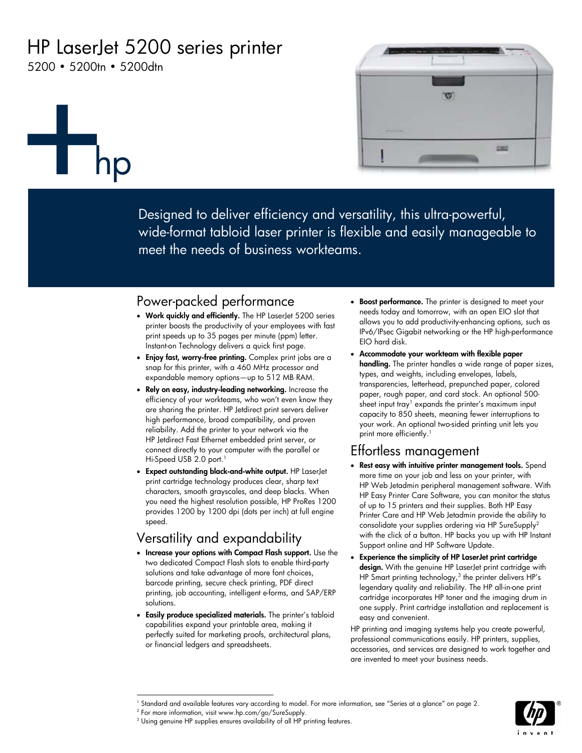# HP LaserJet 5200 series printer

5200 • 5200tn • 5200dtn

hp



Designed to deliver efficiency and versatility, this ultra-powerful, wide-format tabloid laser printer is flexible and easily manageable to meet the needs of business workteams.

## Power-packed performance

- **Work quickly and efficiently.** The HP LaserJet 5200 series printer boosts the productivity of your employees with fast print speeds up to 35 pages per minute (ppm) letter. Instant-on Technology delivers a quick first page.
- **Enjoy fast, worry-free printing.** Complex print jobs are a snap for this printer, with a 460 MHz processor and expandable memory options—up to 512 MB RAM.
- **Rely on easy, industry-leading networking.** Increase the efficiency of your workteams, who won't even know they are sharing the printer. HP Jetdirect print servers deliver high performance, broad compatibility, and proven reliability. Add the printer to your network via the HP Jetdirect Fast Ethernet embedded print server, or connect directly to your computer with the parallel or Hi-Speed USB 2.0 port.<sup>1</sup>
- **Expect outstanding black-and-white output.** HP LaserJet print cartridge technology produces clear, sharp text characters, smooth grayscales, and deep blacks. When you need the highest resolution possible, HP ProRes 1200 provides 1200 by 1200 dpi (dots per inch) at full engine speed.

# Versatility and expandability

- **Increase your options with Compact Flash support.** Use the two dedicated Compact Flash slots to enable third-party solutions and take advantage of more font choices, barcode printing, secure check printing, PDF direct printing, job accounting, intelligent e-forms, and SAP/ERP solutions.
- **Easily produce specialized materials.** The printer's tabloid capabilities expand your printable area, making it perfectly suited for marketing proofs, architectural plans, or financial ledgers and spreadsheets.
- **Boost performance.** The printer is designed to meet your needs today and tomorrow, with an open EIO slot that allows you to add productivity-enhancing options, such as IPv6/IPsec Gigabit networking or the HP high-performance EIO hard disk.
- **Accommodate your workteam with flexible paper handling.** The printer handles a wide range of paper sizes, types, and weights, including envelopes, labels, transparencies, letterhead, prepunched paper, colored paper, rough paper, and card stock. An optional 500 sheet input tray<sup>1</sup> expands the printer's maximum input capacity to 850 sheets, meaning fewer interruptions to your work. An optional two-sided printing unit lets you print more efficiently.<sup>1</sup>

## Effortless management

- **Rest easy with intuitive printer management tools.** Spend more time on your job and less on your printer, with HP Web Jetadmin peripheral management software. With HP Easy Printer Care Software, you can monitor the status of up to 15 printers and their supplies. Both HP Easy Printer Care and HP Web Jetadmin provide the ability to consolidate your supplies ordering via HP SureSupply2 with the click of a button. HP backs you up with HP Instant Support online and HP Software Update.
- **Experience the simplicity of HP LaserJet print cartridge design.** With the genuine HP LaserJet print cartridge with HP Smart printing technology, $3$  the printer delivers HP's legendary quality and reliability. The HP all-in-one print cartridge incorporates HP toner and the imaging drum in one supply. Print cartridge installation and replacement is easy and convenient.

HP printing and imaging systems help you create powerful, professional communications easily. HP printers, supplies, accessories, and services are designed to work together and are invented to meet your business needs.



 $\overline{a}$ 1 Standard and available features vary according to model. For more information, see "Series at a glance" on page 2.

<sup>2</sup> For more information, visit www.hp.com/go/SureSupply.

 $3$  Using genuine HP supplies ensures availability of all HP printing features.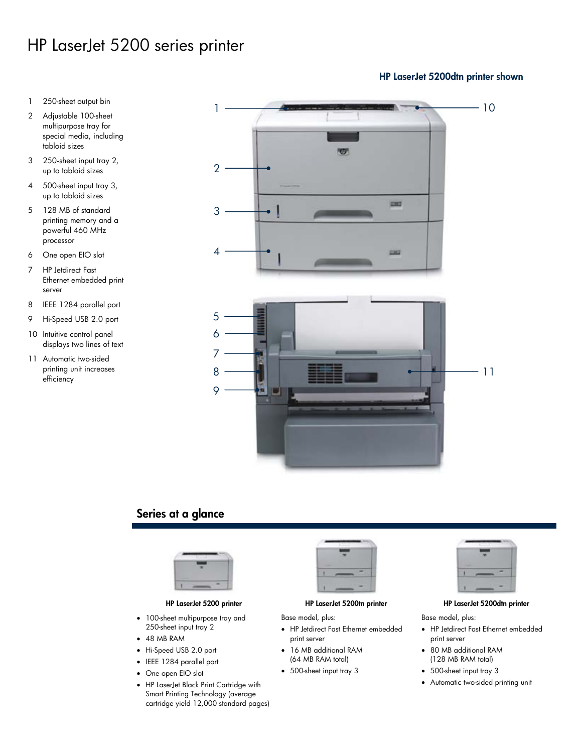# HP LaserJet 5200 series printer

- 1 250-sheet output bin
- 2 Adjustable 100-sheet multipurpose tray for special media, including tabloid sizes
- 3 250-sheet input tray 2, up to tabloid sizes
- 4 500-sheet input tray 3, up to tabloid sizes
- 5 128 MB of standard printing memory and a powerful 460 MHz processor
- 6 One open EIO slot
- 7 HP Jetdirect Fast Ethernet embedded print server
- 8 IEEE 1284 parallel port
- 9 Hi-Speed USB 2.0 port
- 10 Intuitive control panel displays two lines of text
- 11 Automatic two-sided printing unit increases efficiency



## **Series at a glance**



- 100-sheet multipurpose tray and 250-sheet input tray 2
- 48 MB RAM
- Hi-Speed USB 2.0 port
- IEEE 1284 parallel port
- One open EIO slot
- HP LaserJet Black Print Cartridge with Smart Printing Technology (average cartridge yield 12,000 standard pages)



Base model, plus:

- HP Jetdirect Fast Ethernet embedded print server
- 16 MB additional RAM (64 MB RAM total)
- 500-sheet input tray 3



#### **HP LaserJet 5200 printer HP LaserJet 5200tn printer HP LaserJet 5200dtn printer**

Base model, plus:

- HP Jetdirect Fast Ethernet embedded print server
- 80 MB additional RAM (128 MB RAM total)
- 500-sheet input tray 3
- Automatic two-sided printing unit

#### **HP LaserJet 5200dtn printer shown**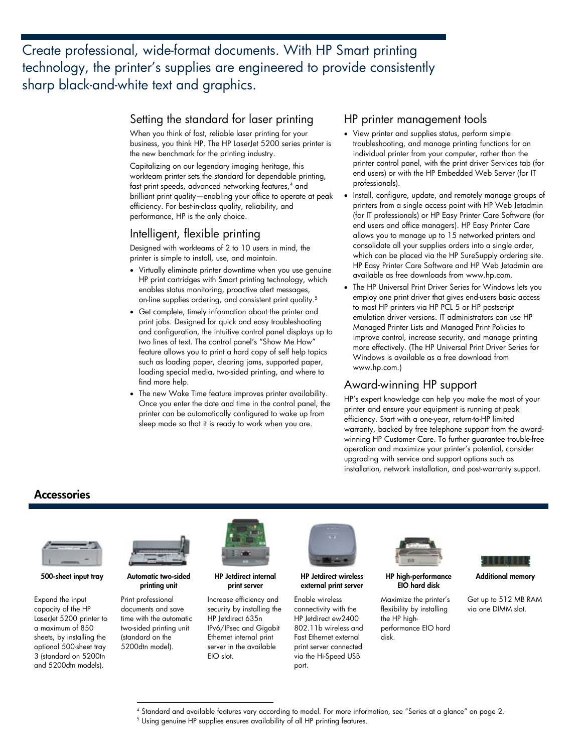Create professional, wide-format documents. With HP Smart printing technology, the printer's supplies are engineered to provide consistently sharp black-and-white text and graphics.

#### Setting the standard for laser printing

When you think of fast, reliable laser printing for your business, you think HP. The HP LaserJet 5200 series printer is the new benchmark for the printing industry.

Capitalizing on our legendary imaging heritage, this workteam printer sets the standard for dependable printing, fast print speeds, advanced networking features,<sup>4</sup> and brilliant print quality—enabling your office to operate at peak efficiency. For best-in-class quality, reliability, and performance, HP is the only choice.

#### Intelligent, flexible printing

Designed with workteams of 2 to 10 users in mind, the printer is simple to install, use, and maintain.

- Virtually eliminate printer downtime when you use genuine HP print cartridges with Smart printing technology, which enables status monitoring, proactive alert messages, on-line supplies ordering, and consistent print quality.<sup>5</sup>
- Get complete, timely information about the printer and print jobs. Designed for quick and easy troubleshooting and configuration, the intuitive control panel displays up to two lines of text. The control panel's "Show Me How" feature allows you to print a hard copy of self help topics such as loading paper, clearing jams, supported paper, loading special media, two-sided printing, and where to find more help.
- The new Wake Time feature improves printer availability. Once you enter the date and time in the control panel, the printer can be automatically configured to wake up from sleep mode so that it is ready to work when you are.

#### HP printer management tools

- View printer and supplies status, perform simple troubleshooting, and manage printing functions for an individual printer from your computer, rather than the printer control panel, with the print driver Services tab (for end users) or with the HP Embedded Web Server (for IT professionals).
- Install, configure, update, and remotely manage groups of printers from a single access point with HP Web Jetadmin (for IT professionals) or HP Easy Printer Care Software (for end users and office managers). HP Easy Printer Care allows you to manage up to 15 networked printers and consolidate all your supplies orders into a single order, which can be placed via the HP SureSupply ordering site. HP Easy Printer Care Software and HP Web Jetadmin are available as free downloads from www.hp.com.
- The HP Universal Print Driver Series for Windows lets you employ one print driver that gives end-users basic access to most HP printers via HP PCL 5 or HP postscript emulation driver versions. IT administrators can use HP Managed Printer Lists and Managed Print Policies to improve control, increase security, and manage printing more effectively. (The HP Universal Print Driver Series for Windows is available as a free download from www.hp.com.)

### Award-winning HP support

HP's expert knowledge can help you make the most of your printer and ensure your equipment is running at peak efficiency. Start with a one-year, return-to-HP limited warranty, backed by free telephone support from the awardwinning HP Customer Care. To further guarantee trouble-free operation and maximize your printer's potential, consider upgrading with service and support options such as installation, network installation, and post-warranty support.

### **Accessories**



**500-sheet input tray Automatic two-sided** 

Expand the input capacity of the HP LaserJet 5200 printer to a maximum of 850 sheets, by installing the optional 500-sheet tray 3 (standard on 5200tn and 5200dtn models).



**printing unit** 

Print professional documents and save time with the automatic two-sided printing unit (standard on the 5200dtn model).

 $\overline{a}$ 



**HP Jetdirect internal print server** 

Increase efficiency and security by installing the HP Jetdirect 635n IPv6/IPsec and Gigabit Ethernet internal print server in the available EIO slot.



**HP Jetdirect wireless external print server** 

Enable wireless connectivity with the HP Jetdirect ew2400 802.11b wireless and Fast Ethernet external print server connected via the Hi-Speed USB port.



**HP high-performance EIO hard disk** 

Maximize the printer's flexibility by installing the HP highperformance EIO hard disk.



**Additional memory** 

Get up to 512 MB RAM via one DIMM slot.

<sup>&</sup>lt;sup>4</sup> Standard and available features vary according to model. For more information, see "Series at a glance" on page 2.<br><sup>5</sup> Using convine HP supplies ensures availability of all HP printing features.

<sup>&</sup>lt;sup>5</sup> Using genuine HP supplies ensures availability of all HP printing features.